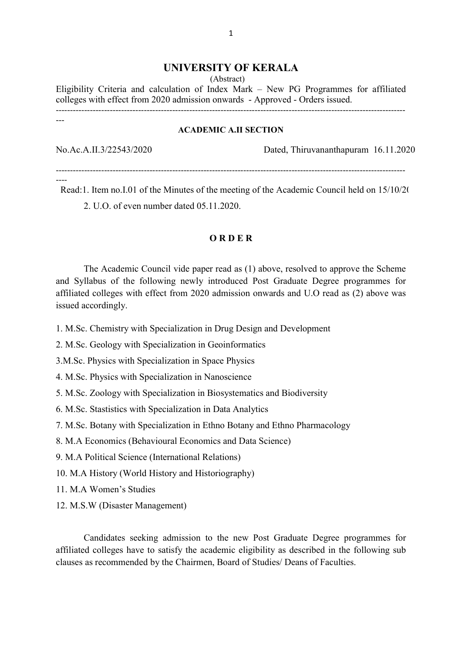### UNIVERSITY OF KERALA

(Abstract)

Eligibility Criteria and calculation of Index Mark – New PG Programmes for affiliated colleges with effect from 2020 admission onwards - Approved - Orders issued. ---------------------------------------------------------------------------------------------------------------------------

#### ACADEMIC A.II SECTION

---

No.Ac.A.II.3/22543/2020 Dated, Thiruvananthapuram 16.11.2020

---------------------------------------------------------------------------------------------------------------------------

---- Read:1. Item no.I.01 of the Minutes of the meeting of the Academic Council held on 15/10/20 2. U.O. of even number dated 05.11.2020.

### O R D E R

 The Academic Council vide paper read as (1) above, resolved to approve the Scheme and Syllabus of the following newly introduced Post Graduate Degree programmes for affiliated colleges with effect from 2020 admission onwards and U.O read as (2) above was issued accordingly.

- 1. M.Sc. Chemistry with Specialization in Drug Design and Development
- 2. M.Sc. Geology with Specialization in Geoinformatics
- 3.M.Sc. Physics with Specialization in Space Physics
- 4. M.Sc. Physics with Specialization in Nanoscience
- 5. M.Sc. Zoology with Specialization in Biosystematics and Biodiversity
- 6. M.Sc. Stastistics with Specialization in Data Analytics
- 7. M.Sc. Botany with Specialization in Ethno Botany and Ethno Pharmacology
- 8. M.A Economics (Behavioural Economics and Data Science)
- 9. M.A Political Science (International Relations)
- 10. M.A History (World History and Historiography)
- 11. M.A Women's Studies
- 12. M.S.W (Disaster Management)

 Candidates seeking admission to the new Post Graduate Degree programmes for affiliated colleges have to satisfy the academic eligibility as described in the following sub clauses as recommended by the Chairmen, Board of Studies/ Deans of Faculties.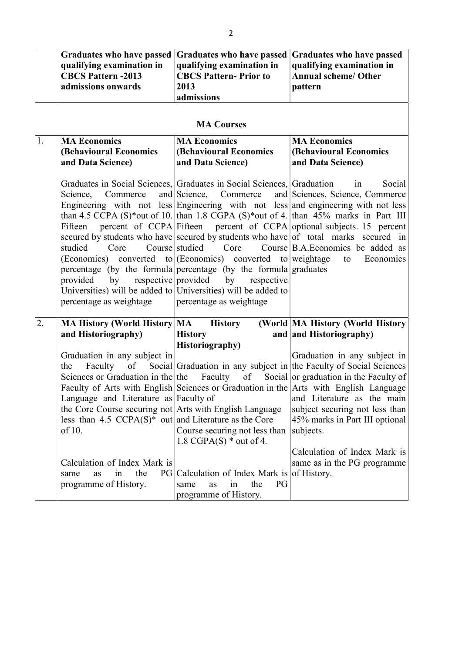|    | <b>Graduates who have passed</b><br>qualifying examination in<br><b>CBCS Pattern -2013</b><br>admissions onwards                                                                                                                                                                                                                                                            | <b>Graduates who have passed</b><br>qualifying examination in<br><b>CBCS Pattern-Prior to</b><br>2013<br>admissions                                                                                                                                                                                                                                                             | <b>Graduates who have passed</b><br>qualifying examination in<br><b>Annual scheme/ Other</b><br>pattern                                                                                                                                                                                                                                                                                                                                                                                                                                           |
|----|-----------------------------------------------------------------------------------------------------------------------------------------------------------------------------------------------------------------------------------------------------------------------------------------------------------------------------------------------------------------------------|---------------------------------------------------------------------------------------------------------------------------------------------------------------------------------------------------------------------------------------------------------------------------------------------------------------------------------------------------------------------------------|---------------------------------------------------------------------------------------------------------------------------------------------------------------------------------------------------------------------------------------------------------------------------------------------------------------------------------------------------------------------------------------------------------------------------------------------------------------------------------------------------------------------------------------------------|
|    |                                                                                                                                                                                                                                                                                                                                                                             | <b>MA Courses</b>                                                                                                                                                                                                                                                                                                                                                               |                                                                                                                                                                                                                                                                                                                                                                                                                                                                                                                                                   |
| 1. | <b>MA Economics</b><br><b>(Behavioural Economics</b><br>and Data Science)                                                                                                                                                                                                                                                                                                   | <b>MA Economics</b><br><b>(Behavioural Economics</b><br>and Data Science)                                                                                                                                                                                                                                                                                                       | <b>MA Economics</b><br><b>(Behavioural Economics)</b><br>and Data Science)                                                                                                                                                                                                                                                                                                                                                                                                                                                                        |
|    | Commerce<br>Science,<br>studied<br>Core<br>respective provided<br>by<br>provided<br>percentage as weightage                                                                                                                                                                                                                                                                 | Graduates in Social Sciences, Graduates in Social Sciences, Graduation<br>and Science, Commerce<br>Course studied<br>Core<br>(Economics) converted to $ $ (Economics) converted to weightage<br>percentage (by the formula percentage (by the formula graduates<br>by<br>respective<br>Universities) will be added to Universities) will be added to<br>percentage as weightage | Social<br>in<br>and Sciences, Science, Commerce<br>than 4.5 CCPA (S)*out of 10. than 1.8 CGPA (S)*out of 4. than 45% marks in Part III<br>Fifteen percent of CCPA Fifteen percent of CCPA optional subjects. 15 percent<br>secured by students who have secured by students who have of total marks secured in<br>Course B.A. Economics be added as<br>to<br>Economics                                                                                                                                                                            |
| 2. | MA History (World History MA<br>and Historiography)<br>Graduation in any subject in<br>the<br>Faculty<br>Language and Literature as Faculty of<br>the Core Course securing not Arts with English Language<br>less than $4.5 \text{ CCPA}(S)^*$ out and Literature as the Core<br>of 10.<br>Calculation of Index Mark is<br>the<br>same<br>in<br>as<br>programme of History. | <b>History</b><br><b>History</b><br><b>Historiography</b> )<br>Course securing not less than<br>1.8 CGPA $(S)$ * out of 4.<br>PG Calculation of Index Mark is<br>the<br>PG<br>in<br>same<br>as<br>programme of History.                                                                                                                                                         | (World MA History (World History<br>and and Historiography)<br>Graduation in any subject in<br>of Social Graduation in any subject in the Faculty of Social Sciences<br>Sciences or Graduation in the the Faculty of Social or graduation in the Faculty of<br>Faculty of Arts with English Sciences or Graduation in the Arts with English Language<br>and Literature as the main<br>subject securing not less than<br>45% marks in Part III optional<br>subjects.<br>Calculation of Index Mark is<br>same as in the PG programme<br>of History. |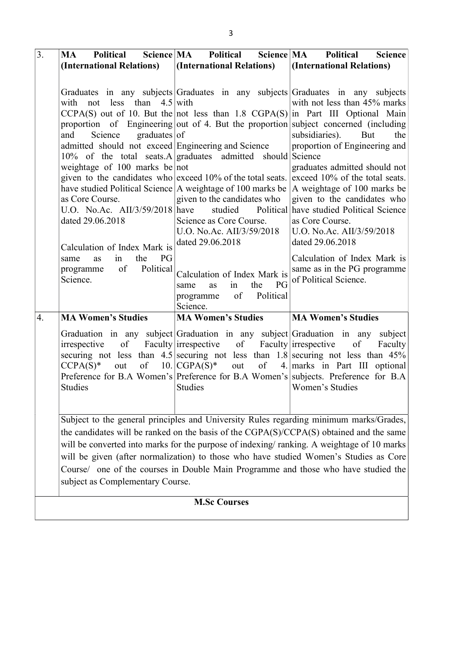| $\overline{3}$ .    | Science MA<br>MA<br>Political                                                                                                                                                                                                                                                                                                                        | Science MA<br><b>Political</b>                                                                                                                                         | <b>Political</b><br><b>Science</b>                                                                                                                                                                                                                                                                                                                                                                                                                                                                                                                                                                  |  |  |  |  |  |
|---------------------|------------------------------------------------------------------------------------------------------------------------------------------------------------------------------------------------------------------------------------------------------------------------------------------------------------------------------------------------------|------------------------------------------------------------------------------------------------------------------------------------------------------------------------|-----------------------------------------------------------------------------------------------------------------------------------------------------------------------------------------------------------------------------------------------------------------------------------------------------------------------------------------------------------------------------------------------------------------------------------------------------------------------------------------------------------------------------------------------------------------------------------------------------|--|--|--|--|--|
|                     | (International Relations)                                                                                                                                                                                                                                                                                                                            | (International Relations)                                                                                                                                              | (International Relations)                                                                                                                                                                                                                                                                                                                                                                                                                                                                                                                                                                           |  |  |  |  |  |
|                     |                                                                                                                                                                                                                                                                                                                                                      |                                                                                                                                                                        |                                                                                                                                                                                                                                                                                                                                                                                                                                                                                                                                                                                                     |  |  |  |  |  |
|                     | with not less than $4.5$ with<br>Science<br>graduates   of<br>and<br>admitted should not exceed Engineering and Science<br>$10\%$ of the total seats. A graduates admitted<br>weightage of $100$ marks be not<br>have studied Political Science A weightage of 100 marks be<br>as Core Course.<br>U.O. No.Ac. AII/3/59/2018 have<br>dated 29.06.2018 | should<br>given to the candidates who exceed 10% of the total seats.<br>given to the candidates who<br>studied<br>Science as Core Course.<br>U.O. No.Ac. AII/3/59/2018 | Graduates in any subjects Graduates in any subjects Graduates in any subjects<br>with not less than 45% marks<br>$CCPA(S)$ out of 10. But the not less than 1.8 $CGPA(S)$ in Part III Optional Main<br>proportion of Engineering out of 4. But the proportion subject concerned (including<br>subsidiaries).<br>But<br>the<br>proportion of Engineering and<br>Science<br>graduates admitted should not<br>exceed 10% of the total seats.<br>A weightage of 100 marks be<br>given to the candidates who<br>Political have studied Political Science<br>as Core Course.<br>U.O. No.Ac. AII/3/59/2018 |  |  |  |  |  |
|                     | Calculation of Index Mark is<br>PG<br>the<br>in<br>same<br>as                                                                                                                                                                                                                                                                                        | dated 29.06.2018                                                                                                                                                       | dated 29.06.2018<br>Calculation of Index Mark is                                                                                                                                                                                                                                                                                                                                                                                                                                                                                                                                                    |  |  |  |  |  |
|                     | Political<br>of<br>programme<br>Science.                                                                                                                                                                                                                                                                                                             | Calculation of Index Mark is<br>PG<br>the<br>in<br>same<br>as<br>of<br>Political<br>programme<br>Science.                                                              | same as in the PG programme<br>of Political Science.                                                                                                                                                                                                                                                                                                                                                                                                                                                                                                                                                |  |  |  |  |  |
| $\overline{4}$ .    | <b>MA Women's Studies</b>                                                                                                                                                                                                                                                                                                                            | <b>MA Women's Studies</b>                                                                                                                                              | <b>MA Women's Studies</b>                                                                                                                                                                                                                                                                                                                                                                                                                                                                                                                                                                           |  |  |  |  |  |
|                     | of<br>irrespective<br>of<br>$CCPA(S)^*$<br>out<br><b>Studies</b>                                                                                                                                                                                                                                                                                     | Faculty irrespective of<br>$10.$ CGPA(S)*<br>out<br>of<br>Studies                                                                                                      | Graduation in any subject Graduation in any subject Graduation in any subject<br>Faculty irrespective<br>of<br>Faculty<br>securing not less than $4.5$ securing not less than $1.8$ securing not less than $45\%$<br>4. marks in Part III optional<br>Preference for B.A Women's Preference for B.A Women's subjects. Preference for B.A<br>Women's Studies                                                                                                                                                                                                                                         |  |  |  |  |  |
|                     |                                                                                                                                                                                                                                                                                                                                                      |                                                                                                                                                                        | Subject to the general principles and University Rules regarding minimum marks/Grades,                                                                                                                                                                                                                                                                                                                                                                                                                                                                                                              |  |  |  |  |  |
|                     |                                                                                                                                                                                                                                                                                                                                                      |                                                                                                                                                                        | the candidates will be ranked on the basis of the CGPA(S)/CCPA(S) obtained and the same<br>will be converted into marks for the purpose of indexing/ranking. A weightage of 10 marks<br>will be given (after normalization) to those who have studied Women's Studies as Core                                                                                                                                                                                                                                                                                                                       |  |  |  |  |  |
|                     | Course/ one of the courses in Double Main Programme and those who have studied the<br>subject as Complementary Course.                                                                                                                                                                                                                               |                                                                                                                                                                        |                                                                                                                                                                                                                                                                                                                                                                                                                                                                                                                                                                                                     |  |  |  |  |  |
| <b>M.Sc Courses</b> |                                                                                                                                                                                                                                                                                                                                                      |                                                                                                                                                                        |                                                                                                                                                                                                                                                                                                                                                                                                                                                                                                                                                                                                     |  |  |  |  |  |
|                     |                                                                                                                                                                                                                                                                                                                                                      |                                                                                                                                                                        |                                                                                                                                                                                                                                                                                                                                                                                                                                                                                                                                                                                                     |  |  |  |  |  |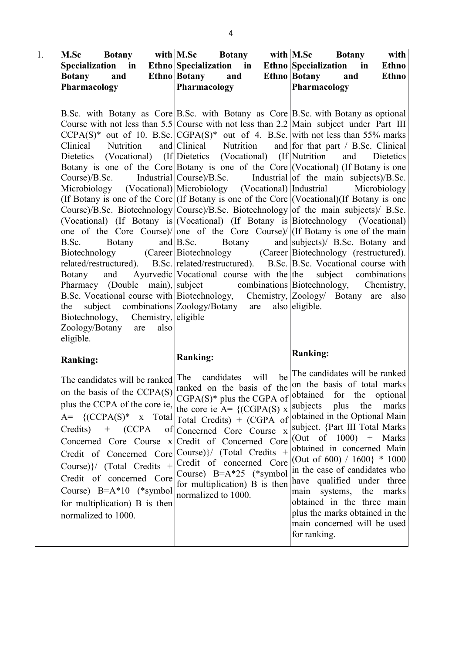| 1. | M.Sc Botany with M.Sc Botany with M.Sc Botany                                                                                                                                                                                                                                                                                                                                                                        |                                                                                                                                                                                                            |      | with                                                                                                                                                                                                                                                                                                                                                                                                                                                                                                                                                                                                                                                                                                                                                                                                                                                                                                                                                                                                                                                                                                                                                                                                                                                                                                                                                                                                                                                                         |
|----|----------------------------------------------------------------------------------------------------------------------------------------------------------------------------------------------------------------------------------------------------------------------------------------------------------------------------------------------------------------------------------------------------------------------|------------------------------------------------------------------------------------------------------------------------------------------------------------------------------------------------------------|------|------------------------------------------------------------------------------------------------------------------------------------------------------------------------------------------------------------------------------------------------------------------------------------------------------------------------------------------------------------------------------------------------------------------------------------------------------------------------------------------------------------------------------------------------------------------------------------------------------------------------------------------------------------------------------------------------------------------------------------------------------------------------------------------------------------------------------------------------------------------------------------------------------------------------------------------------------------------------------------------------------------------------------------------------------------------------------------------------------------------------------------------------------------------------------------------------------------------------------------------------------------------------------------------------------------------------------------------------------------------------------------------------------------------------------------------------------------------------------|
|    | Specialization in Ethno Specialization in Ethno Specialization in                                                                                                                                                                                                                                                                                                                                                    |                                                                                                                                                                                                            |      | Ethno                                                                                                                                                                                                                                                                                                                                                                                                                                                                                                                                                                                                                                                                                                                                                                                                                                                                                                                                                                                                                                                                                                                                                                                                                                                                                                                                                                                                                                                                        |
|    | Botany and Ethno Botany and Ethno Botany and                                                                                                                                                                                                                                                                                                                                                                         |                                                                                                                                                                                                            |      | <b>Ethno</b>                                                                                                                                                                                                                                                                                                                                                                                                                                                                                                                                                                                                                                                                                                                                                                                                                                                                                                                                                                                                                                                                                                                                                                                                                                                                                                                                                                                                                                                                 |
|    | Pharmacology                                                                                                                                                                                                                                                                                                                                                                                                         | Pharmacology                                                                                                                                                                                               |      | Pharmacology                                                                                                                                                                                                                                                                                                                                                                                                                                                                                                                                                                                                                                                                                                                                                                                                                                                                                                                                                                                                                                                                                                                                                                                                                                                                                                                                                                                                                                                                 |
|    |                                                                                                                                                                                                                                                                                                                                                                                                                      |                                                                                                                                                                                                            |      |                                                                                                                                                                                                                                                                                                                                                                                                                                                                                                                                                                                                                                                                                                                                                                                                                                                                                                                                                                                                                                                                                                                                                                                                                                                                                                                                                                                                                                                                              |
|    | Clinical Nutrition<br>Dietetics (Vocational) (If Dietetics (Vocational) (If Nutrition<br>Course)/B.<br>Botany<br>B.Sc.<br>Botany<br>and<br>subject combinations Zoology/Botany are<br>the                                                                                                                                                                                                                            | and $B.Sc$ .<br><b>Botany</b>                                                                                                                                                                              |      | B.Sc. with Botany as Core B.Sc. with Botany as Core B.Sc. with Botany as optional<br>Course with not less than $5.5$ Course with not less than $2.2$ Main subject under Part III<br>$CCPA(S)^*$ out of 10. B.Sc. $ CGPA(S)^*$ out of 4. B.Sc. with not less than 55% marks<br>and Clinical Nutrition and for that part / B.Sc. Clinical<br>and Dietetics<br>Botany is one of the Core Botany is one of the Core (Vocational) (If Botany is one<br>Industrial $\text{Course}/\text{B}.\text{Sc.}$ Industrial of the main subjects $\text{B}.\text{Sc.}$<br>Microbiology (Vocational) Microbiology (Vocational) Industrial Microbiology<br>(If Botany is one of the Core $($ If Botany is one of the Core $($ Vocational $)$ (If Botany is one<br>Course)/B.Sc. Biotechnology Course)/B.Sc. Biotechnology of the main subjects)/ B.Sc.<br>(Vocational) (If Botany is (Vocational) (If Botany is Biotechnology (Vocational)<br>one of the Core Course)/ $ one$ of the Core Course)/ $ $ (If Botany is one of the main<br>and subjects)/ B.Sc. Botany and<br>Biotechnology (Career Biotechnology (Career Biotechnology (restructured).<br>related/restructured). B.Sc. related/restructured). B.Sc. B.Sc. Vocational course with<br>Ayurvedic Vocational course with the the subject combinations<br>Pharmacy (Double main), subject combinations Biotechnology, Chemistry,<br>B.Sc. Vocational course with Biotechnology, Chemistry, Zoology/ Botany are also<br>also eligible. |
|    | Biotechnology, Chemistry, eligible<br>Zoology/Botany are<br>also<br>eligible.<br><b>Ranking:</b>                                                                                                                                                                                                                                                                                                                     | <b>Ranking:</b>                                                                                                                                                                                            |      | <b>Ranking:</b>                                                                                                                                                                                                                                                                                                                                                                                                                                                                                                                                                                                                                                                                                                                                                                                                                                                                                                                                                                                                                                                                                                                                                                                                                                                                                                                                                                                                                                                              |
|    | The candidates will be ranked The candidates<br>plus the CCPA of the core ie, the core ie $A = \{ (CGPA(S) \times$<br>$A = \{ (CCPA(S)^* \times Total   Total) 1 \}$ Credits + (CGPA of<br>$Credits)$ + $(CCPA)$<br>Concerned Core Course<br>Credit of Concerned Core<br>Course)}/ (Total Credits +<br>Credit of concerned Core<br>Course) $B=A*10$ (*symbol<br>for multiplication) B is then<br>normalized to 1000. | of Concerned Core Course x<br>x Credit of Concerned Core<br>Course) $}/$ (Total Credits +<br>Credit of concerned Core<br>Course) $B=A*25$ (*symbol<br>for multiplication) B is then<br>normalized to 1000. | will | be The candidates will be ranked<br>on the basis of total marks<br>on the basis of the CCPA(S) ranked on the basis of the $ \text{con the basis of total marks} $<br>ranked on the basis of the basis of total marks cGPA of the cGPA of the cGPA of the cGPA of the cGPA of the cGPA of the cGPA of the cGPA of the cGPA of t<br>subjects plus the<br>marks<br>obtained in the Optional Main<br>subject. {Part III Total Marks<br>(Out of $1000$ ) + Marks<br>obtained in concerned Main<br>(Out of $600$ ) / $1600$ } * $1000$<br>in the case of candidates who<br>have qualified under three<br>main systems, the<br>marks<br>obtained in the three main<br>plus the marks obtained in the<br>main concerned will be used<br>for ranking.                                                                                                                                                                                                                                                                                                                                                                                                                                                                                                                                                                                                                                                                                                                                 |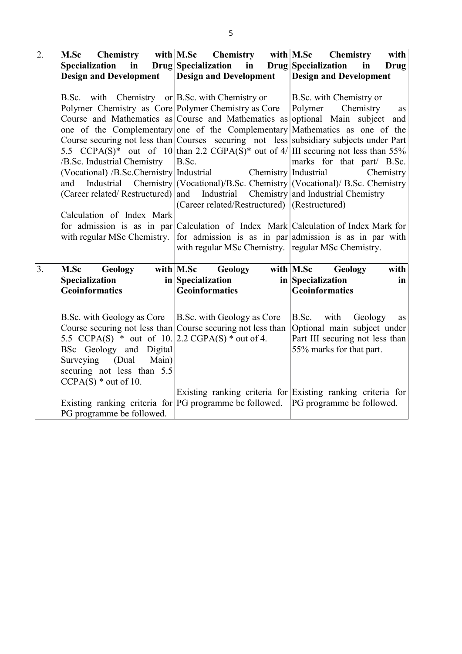| $\overline{2}$ . |                                                                                           | M.Sc Chemistry with M.Sc Chemistry with M.Sc Chemistry                            | with                                                                                                      |  |  |
|------------------|-------------------------------------------------------------------------------------------|-----------------------------------------------------------------------------------|-----------------------------------------------------------------------------------------------------------|--|--|
|                  | Specialization                                                                            | in Drug Specialization in Drug Specialization                                     | <b>Drug</b><br>in                                                                                         |  |  |
|                  | <b>Design and Development</b>                                                             | <b>Design and Development</b>                                                     | <b>Design and Development</b>                                                                             |  |  |
|                  |                                                                                           |                                                                                   |                                                                                                           |  |  |
|                  | B.Sc. with Chemistry or $ B.Sc.$ with Chemistry or                                        |                                                                                   | B.Sc. with Chemistry or                                                                                   |  |  |
|                  | Polymer Chemistry as Core Polymer Chemistry as Core                                       |                                                                                   | Chemistry<br>Polymer<br>as                                                                                |  |  |
|                  |                                                                                           |                                                                                   | Course and Mathematics as Course and Mathematics as optional Main subject and                             |  |  |
|                  |                                                                                           |                                                                                   | one of the Complementary one of the Complementary Mathematics as one of the                               |  |  |
|                  |                                                                                           |                                                                                   | Course securing not less than Courses securing not less subsidiary subjects under Part                    |  |  |
|                  |                                                                                           |                                                                                   | 5.5 CCPA(S) <sup>*</sup> out of 10 than 2.2 CGPA(S) <sup>*</sup> out of 4/ III securing not less than 55% |  |  |
|                  | /B.Sc. Industrial Chemistry                                                               | B.Sc.                                                                             | marks for that part/ B.Sc.                                                                                |  |  |
|                  |                                                                                           | (Vocational) /B.Sc.Chemistry   Industrial Chemistry   Industrial                  | Chemistry                                                                                                 |  |  |
|                  | and                                                                                       |                                                                                   | Industrial Chemistry (Vocational)/B.Sc. Chemistry (Vocational)/ B.Sc. Chemistry                           |  |  |
|                  |                                                                                           | (Career related/ Restructured) and Industrial Chemistry and Industrial Chemistry  |                                                                                                           |  |  |
|                  |                                                                                           | (Career related/Restructured)  (Restructured)                                     |                                                                                                           |  |  |
|                  | Calculation of Index Mark                                                                 |                                                                                   |                                                                                                           |  |  |
|                  |                                                                                           |                                                                                   | for admission is as in par Calculation of Index Mark Calculation of Index Mark for                        |  |  |
|                  |                                                                                           | with regular MSc Chemistry. regular MSc Chemistry.                                | with regular MSc Chemistry. for admission is as in par admission is as in par with                        |  |  |
|                  |                                                                                           |                                                                                   |                                                                                                           |  |  |
| 3.               | M.Sc<br>Geology                                                                           | with $M.Sc$<br>Geology                                                            | with M.Sc<br>with<br>Geology                                                                              |  |  |
|                  | Specialization                                                                            | in Specialization                                                                 | in Specialization<br>in                                                                                   |  |  |
|                  | <b>Geoinformatics</b>                                                                     | <b>Geoinformatics</b>                                                             | <b>Geoinformatics</b>                                                                                     |  |  |
|                  |                                                                                           |                                                                                   |                                                                                                           |  |  |
|                  |                                                                                           |                                                                                   |                                                                                                           |  |  |
|                  | B.Sc. with Geology as Core<br>Course securing not less than Course securing not less than | B.Sc. with Geology as Core                                                        | with<br>Geology<br>B.Sc.<br>as<br>Optional main subject under                                             |  |  |
|                  | 5.5 CCPA(S) * out of 10. $[2.2 \text{ CGPA(S)}^*$ out of 4.                               |                                                                                   | Part III securing not less than                                                                           |  |  |
|                  | BSc Geology and Digital                                                                   |                                                                                   | 55% marks for that part.                                                                                  |  |  |
|                  | Surveying (Dual<br>Main)                                                                  |                                                                                   |                                                                                                           |  |  |
|                  | securing not less than 5.5                                                                |                                                                                   |                                                                                                           |  |  |
|                  | $CCPA(S) * out of 10.$                                                                    |                                                                                   |                                                                                                           |  |  |
|                  |                                                                                           |                                                                                   | Existing ranking criteria for Existing ranking criteria for                                               |  |  |
|                  |                                                                                           | Existing ranking criteria for PG programme be followed. PG programme be followed. |                                                                                                           |  |  |
|                  | PG programme be followed.                                                                 |                                                                                   |                                                                                                           |  |  |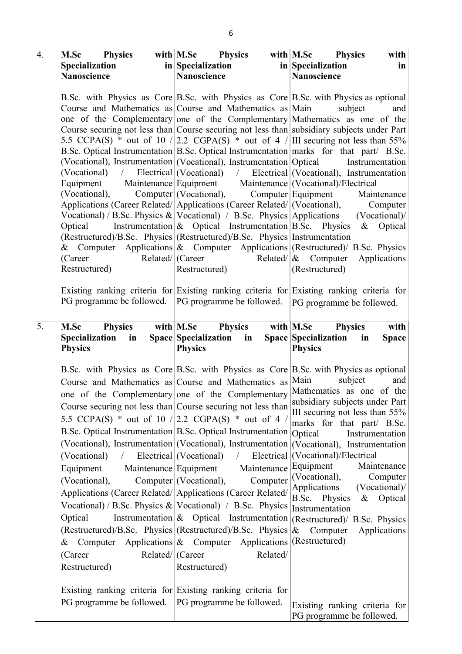| $\overline{4}$ . | M.Sc Physics                                                     | with $M.Sc$ Physics                                                                       | with $M.Sc$ Physics<br>with                                                                                                                                               |
|------------------|------------------------------------------------------------------|-------------------------------------------------------------------------------------------|---------------------------------------------------------------------------------------------------------------------------------------------------------------------------|
|                  | <b>Specialization</b>                                            | in Specialization                                                                         | $\frac{1}{2}$ in Specialization<br>in                                                                                                                                     |
|                  | Nanoscience                                                      | <b>Nanoscience</b>                                                                        | Nanoscience                                                                                                                                                               |
|                  |                                                                  |                                                                                           |                                                                                                                                                                           |
|                  |                                                                  |                                                                                           | B.Sc. with Physics as Core B.Sc. with Physics as Core B.Sc. with Physics as optional                                                                                      |
|                  | Course and Mathematics as Course and Mathematics as $\vert$ Main |                                                                                           | subject<br>and                                                                                                                                                            |
|                  |                                                                  |                                                                                           | one of the Complementary one of the Complementary Mathematics as one of the<br>Course securing not less than Course securing not less than subsidiary subjects under Part |
|                  |                                                                  |                                                                                           | 5.5 CCPA(S) * out of 10 / 2.2 CGPA(S) * out of 4 / III securing not less than 55%                                                                                         |
|                  |                                                                  |                                                                                           | B.Sc. Optical Instrumentation B.Sc. Optical Instrumentation marks for that part/ B.Sc.                                                                                    |
|                  |                                                                  | (Vocational), Instrumentation (Vocational), Instrumentation Optical                       | Instrumentation                                                                                                                                                           |
|                  |                                                                  |                                                                                           | (Vocational) / Electrical (Vocational) / Electrical (Vocational), Instrumentation                                                                                         |
|                  |                                                                  | Equipment Maintenance Equipment Maintenance (Vocational)/Electrical                       |                                                                                                                                                                           |
|                  | (Vocational), Computer (Vocational), Computer Equipment          |                                                                                           | Maintenance                                                                                                                                                               |
|                  |                                                                  | Applications (Career Related/ Applications (Career Related/ (Vocational),                 | Computer                                                                                                                                                                  |
|                  |                                                                  |                                                                                           | Vocational) / B.Sc. Physics &   Vocational) / B.Sc. Physics   Applications (Vocational) /                                                                                 |
|                  | Optical                                                          |                                                                                           | Instrumentation & Optical Instrumentation B.Sc. Physics & Optical                                                                                                         |
|                  |                                                                  | (Restructured)/B.Sc. Physics (Restructured)/B.Sc. Physics Instrumentation                 | & Computer Applications & Computer Applications (Restructured) A.S.c. Physics                                                                                             |
|                  | Related/  (Career<br>(Career)                                    |                                                                                           | Related/ $\&$ Computer Applications                                                                                                                                       |
|                  | Restructured)                                                    | Restructured)                                                                             | (Restructured)                                                                                                                                                            |
|                  |                                                                  |                                                                                           |                                                                                                                                                                           |
|                  |                                                                  |                                                                                           | Existing ranking criteria for Existing ranking criteria for Existing ranking criteria for                                                                                 |
|                  | PG programme be followed.   PG programme be followed.            |                                                                                           | PG programme be followed.                                                                                                                                                 |
|                  |                                                                  |                                                                                           |                                                                                                                                                                           |
| 5.               | <b>M.Sc</b> Physics                                              | with M.Sc Physics                                                                         | $with$   M.Sc Physics<br>with                                                                                                                                             |
|                  | Specialization<br>in                                             | Space Specialization in                                                                   | Space Specialization<br><b>Space</b><br>in                                                                                                                                |
|                  | <b>Physics</b>                                                   | <b>Physics</b>                                                                            | <b>Physics</b>                                                                                                                                                            |
|                  |                                                                  |                                                                                           | B.Sc. with Physics as Core B.Sc. with Physics as Core B.Sc. with Physics as optional                                                                                      |
|                  | Course and Mathematics as Course and Mathematics as $\vert$ Main |                                                                                           | subject<br>and                                                                                                                                                            |
|                  |                                                                  |                                                                                           | one of the Complementary one of the Complementary Mathematics as one of the                                                                                               |
|                  |                                                                  |                                                                                           | subsidiary subjects under Part                                                                                                                                            |
|                  |                                                                  | Course securing not less than Course securing not less than                               | III securing not less than 55%                                                                                                                                            |
|                  | 5.5 CCPA(S) * out of 10 / 2.2 CGPA(S) * out of 4 /               |                                                                                           | marks for that part/ B.Sc.                                                                                                                                                |
|                  | B.Sc. Optical Instrumentation B.Sc. Optical Instrumentation      |                                                                                           | Optical<br>Instrumentation                                                                                                                                                |
|                  |                                                                  | (Vocational), Instrumentation (Vocational), Instrumentation (Vocational), Instrumentation |                                                                                                                                                                           |
|                  |                                                                  |                                                                                           |                                                                                                                                                                           |
|                  | $(Vocational)$ /                                                 | Electrical (Vocational) $\sqrt{ }$                                                        | Electrical (Vocational)/Electrical                                                                                                                                        |
|                  | Equipment                                                        | Maintenance<br>Maintenance Equipment                                                      | Equipment<br>Maintenance                                                                                                                                                  |
|                  | (Vocational),                                                    | Computer<br>Computer (Vocational),                                                        | (Vocational),<br>Computer                                                                                                                                                 |
|                  |                                                                  | Applications (Career Related/ Applications (Career Related/                               | Applications<br>(Vocational)                                                                                                                                              |
|                  |                                                                  | Vocational) / B.Sc. Physics & $ V$ ocational) / B.Sc. Physics                             | B.Sc. Physics<br>& Optical<br>Instrumentation                                                                                                                             |
|                  | Optical                                                          |                                                                                           |                                                                                                                                                                           |
|                  |                                                                  | (Restructured)/B.Sc. Physics (Restructured)/B.Sc. Physics $\&$ Computer                   | Instrumentation $\left \mathcal{X}\right $ Optical Instrumentation $\left \left(\text{Restructured}\right)/\right $ B.Sc. Physics<br>Applications                         |
|                  |                                                                  | & Computer Applications $\&$ Computer Applications (Restructured)                         |                                                                                                                                                                           |
|                  | Related/ (Career<br>(Career                                      | Related/                                                                                  |                                                                                                                                                                           |
|                  | Restructured)                                                    | Restructured)                                                                             |                                                                                                                                                                           |
|                  |                                                                  |                                                                                           |                                                                                                                                                                           |
|                  |                                                                  | Existing ranking criteria for Existing ranking criteria for                               |                                                                                                                                                                           |
|                  | PG programme be followed. PG programme be followed.              |                                                                                           | Existing ranking criteria for                                                                                                                                             |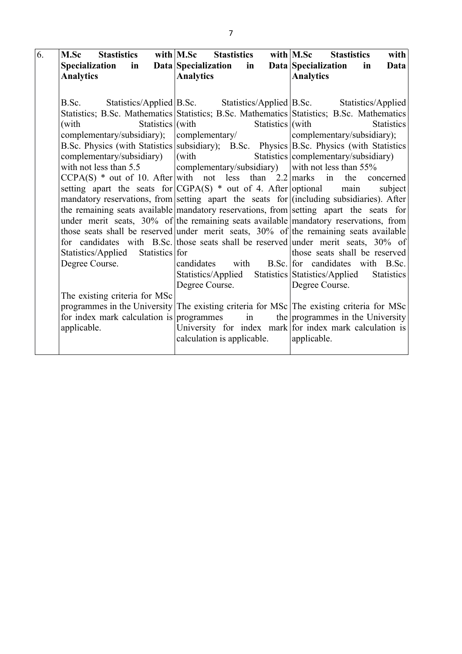| 6. | <b>M.Sc</b> Stastistics                                                                   |                      | with M.Sc Stastistics with M.Sc Stastistics             |                          |                                                 |  | with              |
|----|-------------------------------------------------------------------------------------------|----------------------|---------------------------------------------------------|--------------------------|-------------------------------------------------|--|-------------------|
|    | Specialization in                                                                         |                      | Data Specialization                                     | in                       | Data Specialization in                          |  | Data              |
|    | <b>Analytics</b>                                                                          |                      | <b>Analytics</b>                                        |                          | <b>Analytics</b>                                |  |                   |
|    |                                                                                           |                      |                                                         |                          |                                                 |  |                   |
|    | B.Sc. Statistics/Applied B.Sc. Statistics/Applied B.Sc. Statistics/Applied                |                      |                                                         |                          |                                                 |  |                   |
|    | Statistics; B.Sc. Mathematics Statistics; B.Sc. Mathematics Statistics; B.Sc. Mathematics |                      |                                                         |                          |                                                 |  |                   |
|    | (with                                                                                     | Statistics $ $ (with |                                                         | Statistics $\vert$ (with |                                                 |  | <b>Statistics</b> |
|    | complementary/subsidiary); complementary/                                                 |                      |                                                         |                          | complementary/subsidiary);                      |  |                   |
|    | B.Sc. Physics (with Statistics subsidiary); B.Sc. Physics B.Sc. Physics (with Statistics  |                      |                                                         |                          |                                                 |  |                   |
|    | complementary/subsidiary)                                                                 |                      | (with                                                   |                          | Statistics complementary/subsidiary)            |  |                   |
|    | with not less than 5.5                                                                    |                      | complementary/subsidiary) with not less than 55%        |                          |                                                 |  |                   |
|    | $CCPA(S)$ * out of 10. After with not less than 2.2 marks in the concerned                |                      |                                                         |                          |                                                 |  |                   |
|    | setting apart the seats for $ CGPA(S) * out of 4$ . After optional main                   |                      |                                                         |                          |                                                 |  | subject           |
|    | mandatory reservations, from setting apart the seats for (including subsidiaries). After  |                      |                                                         |                          |                                                 |  |                   |
|    | the remaining seats available mandatory reservations, from setting apart the seats for    |                      |                                                         |                          |                                                 |  |                   |
|    | under merit seats, $30\%$ of the remaining seats available mandatory reservations, from   |                      |                                                         |                          |                                                 |  |                   |
|    | those seats shall be reserved under merit seats, $30\%$ of the remaining seats available  |                      |                                                         |                          |                                                 |  |                   |
|    | for candidates with B.Sc. those seats shall be reserved under merit seats, 30% of         |                      |                                                         |                          |                                                 |  |                   |
|    | Statistics/Applied Statistics for                                                         |                      |                                                         |                          | those seats shall be reserved                   |  |                   |
|    | Degree Course.                                                                            |                      | candidates with B.Sc. for candidates with B.Sc.         |                          |                                                 |  |                   |
|    |                                                                                           |                      | Statistics/Applied                                      |                          | Statistics Statistics/Applied<br>Degree Course. |  | <b>Statistics</b> |
|    | The existing criteria for MSc                                                             |                      | Degree Course.                                          |                          |                                                 |  |                   |
|    | programmes in the University The existing criteria for MSc The existing criteria for MSc  |                      |                                                         |                          |                                                 |  |                   |
|    | for index mark calculation is programmes in the programmes in the University              |                      |                                                         |                          |                                                 |  |                   |
|    | applicable.                                                                               |                      | University for index mark for index mark calculation is |                          |                                                 |  |                   |
|    |                                                                                           |                      | calculation is applicable.                              |                          | applicable.                                     |  |                   |
|    |                                                                                           |                      |                                                         |                          |                                                 |  |                   |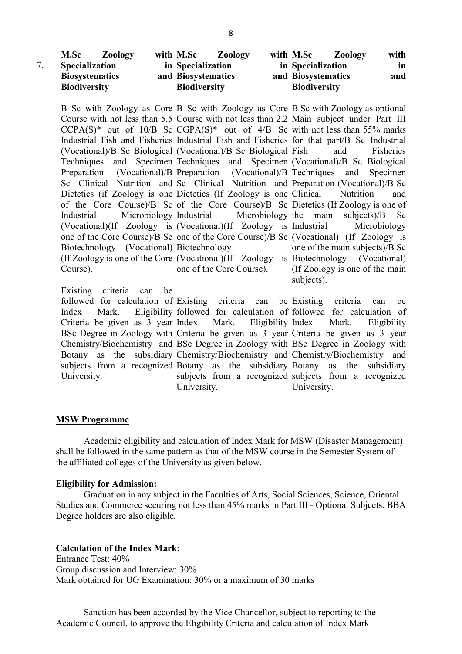|    | <b>M.Sc Zoology</b>                               | with M.Sc Zoology                                                            | with M.Sc Zoology<br>with                                                                                                                                          |
|----|---------------------------------------------------|------------------------------------------------------------------------------|--------------------------------------------------------------------------------------------------------------------------------------------------------------------|
| 7. | <b>Specialization</b>                             | in Specialization                                                            | in Specialization<br>in                                                                                                                                            |
|    | <b>Biosystematics</b>                             | and Biosystematics                                                           | and Biosystematics<br>and                                                                                                                                          |
|    | <b>Biodiversity</b>                               | <b>Biodiversity</b>                                                          | <b>Biodiversity</b>                                                                                                                                                |
|    |                                                   |                                                                              |                                                                                                                                                                    |
|    |                                                   |                                                                              | B Sc with Zoology as Core B Sc with Zoology as Core B Sc with Zoology as optional                                                                                  |
|    |                                                   |                                                                              | Course with not less than 5.5 Course with not less than 2.2 Main subject under Part III                                                                            |
|    |                                                   |                                                                              | $CCPA(S)^*$ out of 10/B Sc $ CGPA(S)^*$ out of 4/B Sc with not less than 55% marks                                                                                 |
|    |                                                   |                                                                              | Industrial Fish and Fisheries Industrial Fish and Fisheries for that part/B Sc Industrial                                                                          |
|    |                                                   | (Vocational)/B Sc Biological (Vocational)/B Sc Biological Fish               | and<br>Fisheries                                                                                                                                                   |
|    |                                                   |                                                                              | Techniques and Specimen Techniques and Specimen (Vocational)/B Sc Biological                                                                                       |
|    | Preparation                                       | $(Vocational)/B$ Preparation $(Vocational)/B$ Techniques                     | and<br>Specimen                                                                                                                                                    |
|    |                                                   |                                                                              | Sc Clinical Nutrition and Sc Clinical Nutrition and Preparation (Vocational)/B Sc                                                                                  |
|    |                                                   | Dietetics (if Zoology is one Dietetics (If Zoology is one Clinical Nutrition | and                                                                                                                                                                |
|    |                                                   |                                                                              | of the Core Course)/B Sc of the Core Course)/B Sc Dietetics (If Zoology is one of                                                                                  |
|    | Microbiology Industrial<br>Industrial             | Microbiology the main                                                        | $subjects$ )/ $B$<br>Sc                                                                                                                                            |
|    |                                                   | (Vocational)(If Zoology is (Vocational)(If Zoology is Industrial             | Microbiology                                                                                                                                                       |
|    |                                                   |                                                                              | one of the Core Course)/B Sc one of the Core Course)/B Sc (Vocational) (If Zoology is                                                                              |
|    | Biotechnology (Vocational) Biotechnology          |                                                                              | one of the main subjects)/B Sc                                                                                                                                     |
|    |                                                   |                                                                              | (If Zoology is one of the Core $ $ (Vocational)(If Zoology is Biotechnology (Vocational)                                                                           |
|    | Course).                                          | one of the Core Course).                                                     | (If Zoology is one of the main                                                                                                                                     |
|    |                                                   |                                                                              | subjects).                                                                                                                                                         |
|    | criteria<br>be<br>Existing<br>can                 |                                                                              |                                                                                                                                                                    |
|    | followed for calculation of Existing criteria can |                                                                              | be Existing criteria<br>be<br>can                                                                                                                                  |
|    | Mark.<br>Index                                    |                                                                              | Eligibility followed for calculation of followed for calculation of                                                                                                |
|    |                                                   | Criteria be given as 3 year Index Mark. Eligibility Index                    | Mark.<br>Eligibility                                                                                                                                               |
|    |                                                   |                                                                              | BSc Degree in Zoology with Criteria be given as $3$ year Criteria be given as $3$ year                                                                             |
|    |                                                   |                                                                              | Chemistry/Biochemistry and BSc Degree in Zoology with BSc Degree in Zoology with<br>Botany as the subsidiary Chemistry/Biochemistry and Chemistry/Biochemistry and |
|    |                                                   |                                                                              |                                                                                                                                                                    |
|    |                                                   |                                                                              |                                                                                                                                                                    |
|    |                                                   |                                                                              |                                                                                                                                                                    |
|    |                                                   |                                                                              |                                                                                                                                                                    |
|    | University.                                       | University.                                                                  | subjects from a recognized Botany as the subsidiary Botany as the subsidiary<br>subjects from a recognized subjects from a recognized<br>University.               |

## MSW Programme

Academic eligibility and calculation of Index Mark for MSW (Disaster Management) shall be followed in the same pattern as that of the MSW course in the Semester System of the affiliated colleges of the University as given below.

#### Eligibility for Admission:

Graduation in any subject in the Faculties of Arts, Social Sciences, Science, Oriental Studies and Commerce securing not less than 45% marks in Part III - Optional Subjects. BBA Degree holders are also eligible.

# Calculation of the Index Mark:

Entrance Test: 40% Group discussion and Interview: 30% Mark obtained for UG Examination: 30% or a maximum of 30 marks